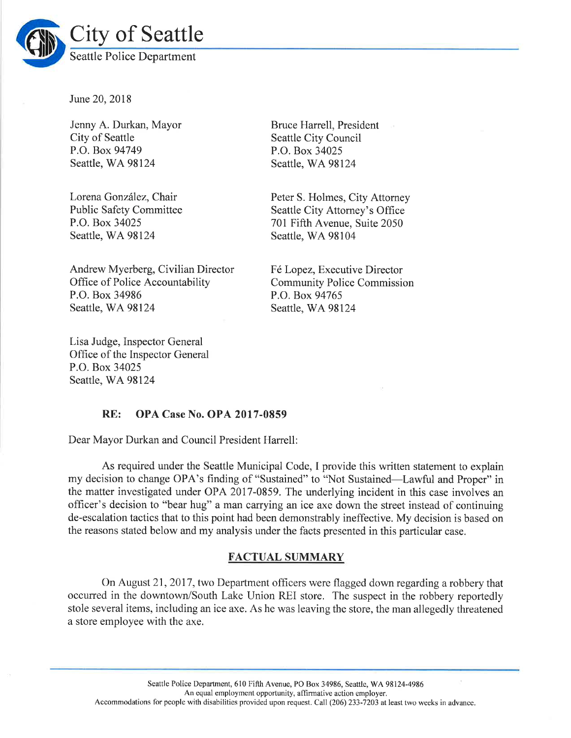

June 20, 2018

Jenny A. Durkan, Mayor City of Seattle P.O. Box 94749 Seattle, WA 98124

Lorena González, Chair Public Safety Committee P.O. Box 34025 Seattle, WA 98124

Andrew Myerberg, Civilian Director Office of Police Accountability P.O. Box 34986 Seattle, WA 98124

Lisa Judge, Inspector General Office of the Inspector General P.O. Box 34025 Seattle, WA 98124

Bruce Harrell, President Seattle City Council P.O. Box 34025 Seattle, WA 98124

Peter S. Holmes, City Attorney Seattle City Attomey's Office 701 Fifth Avenue, Suite 2050 Seattle, WA 98104

<sup>F</sup>6 Lopez, Executive Director Community Police Commission P.O. Box 94765 Seattle, WA 98124

### RE: OPA Case No. OPA 2017-0859

Dear Mayor Durkan and Council President Harrell:

As required under the Seattle Municipal Code, I provide this written statement to explain my decision to change OPA's finding of "Sustained" to "Not Sustained—Lawful and Proper" in the matter investigated under OPA 2017-0859. The underlying incident in this case involves an officer's decision to "bear hug" a man carrying an ice axe down the street instead of continuing de-escalation tactics that to this point had been demonstrably ineffective. My decision is based on the reasons stated below and my analysis under the facts presented in this particular case.

### FACTUAL SUMMARY

On August 21, 2017, two Department officers were flagged down regarding a robbery that occurred in the downtown/South Lake Union REI store. The suspect in the robbery reportedly stole several items, including an ice axe. As he was leaving the store, the man allegedly threatened a store employee with the axe.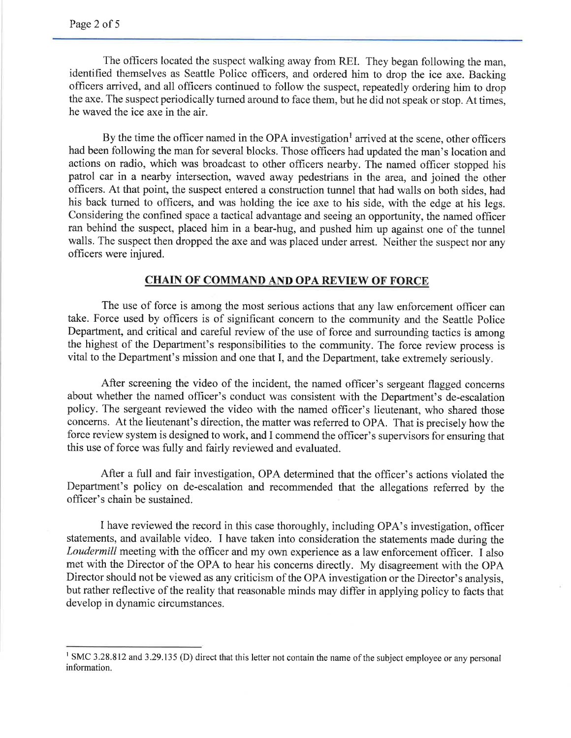The officers located the suspect walking away from REI. They began following the man, identified themselves as Seattle Police officers, and ordered him to drop the ice axe. Backing officers arrived, and all officers continued to follow the suspect, repeatedly ordering him to drop the axe. The suspect periodically turned around to face them, but he did not speak or stop. At times, he waved the ice axe in the air.

By the time the officer named in the OPA investigation<sup>1</sup> arrived at the scene, other officers had been following the man for several blocks. Those officers had updated the man's location and actions on radio, which was broadcast to other ofhcers nearby. The named officer stopped his patrol car in a nearby intersection, waved away pedestrians in the area, and joined the other officers. At that point, the suspect entered a construction tunnel that had walls on both sides, had his back turned to officers, and was holding the ice axe to his side, with the edge at his legs. Considering the confined space a tactical advantage and seeing an opportunity, the named officer ran behind the suspect, placed him in a bear-hug, and pushed him up against one of the tunnel walls. The suspect then dropped the axe and was placed under arrest. Neither the suspect nor any officers were injured.

# CHAIN OF COMMAND AND OPA REVIEW OF FORCE

The use of force is among the most serious actions that any law enforcement officer can take. Force used by officers is of significant concern to the community and the Seattle Police Department, and critical and careful review of the use of force and surrounding tactics is among the highest of the Department's responsibilities to the community. The force review process is vital to the Department's mission and one that I, and the Department, take extremely seriously.

After screening the video of the incident, the named officer's sergeant flagged concerns about whether the named officer's conduct was consistent with the Department's de-escalation policy. The sergeant reviewed the video with the named officer's lieutenant, who shared those concems. At the lieutenant's direction, the matter was referred to OPA. That is precisely how the force review system is designed to work, and I commend the officer's supervisors for ensuring that this use of force was fully and fairly reviewed and evaluated.

After a fulI and fair investigation, OPA determined that the officer's actions violated the Department's policy on de-escalation and recommended that the allegations referred by the officer's chain be sustained.

I have reviewed the record in this case thoroughly, including OPA's investigation, officer statements, and available video. I have taken into consideration the statements made during the Loudermill meeting with the officer and my own experience as a law enforcement officer. I also met with the Director of the OPA to hear his concerns directly. My disagreement with the OPA Director should not be viewed as any criticism of the OPA investigation or the Director's analysis, but rather reflective of the reality that reasonable minds may differ in applying policy to facts that develop in dynamic circumstances.

<sup>&</sup>lt;sup>1</sup> SMC 3.28.812 and 3.29.135 (D) direct that this letter not contain the name of the subject employee or any personal information.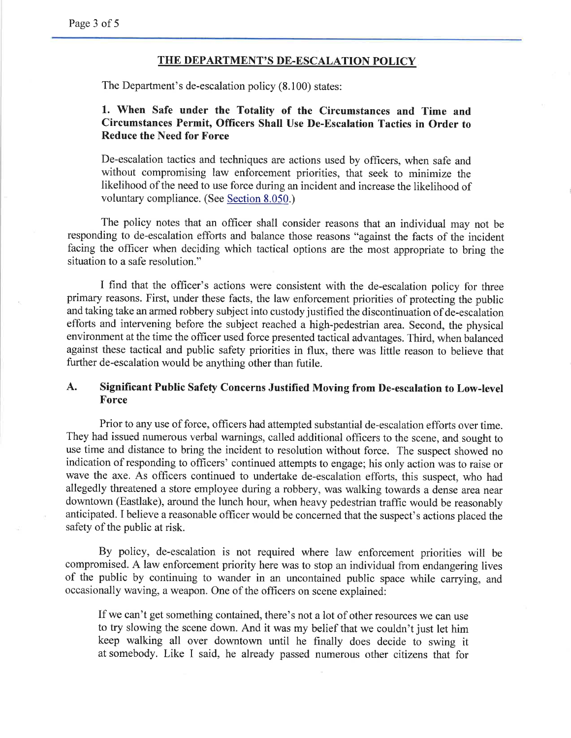#### THE DEPARTMENT'S DE.ESCALATION POLICY

The Department's de-escalation policy (8.100) states:

# 1. when safe under the Totality of the circumstances and Time and Circumstances Permit, Officers Shall Use De-Escalation Tactics in Order to Reduce the Need for Force

De-escalation tactics and techniques are actions used by officers, when safe and without compromising law enforcement priorities, that seek to minimize the likelihood of the need to use force during an incident and increase the likelihood of voluntary compliance. (See Section 8.050.)

The policy notes that an officer shall consider reasons that an individual may not be responding to de-escalation efforts and balance those reasons "against the facts of the incident facing the officer when deciding which tactical options are the most appropriate to bring the situation to a safe resolution."

I find that the officer's actions were consistent with the de-escalation policy for three primary reasons. First, under these facts, the law enforcement priorities of protecting the public and taking take an armed robbery subject into custody justified the discontinuation of de-escalation efforts and intervening before the subject reached a high-pedestrian area. Second, the physical environment at the time the officer used force presented tactical advantages. Third, when balanced against these tactical and public safety priorities in flux, there was little reason to believe that further de-escalation would be anything other than futile.

# A. Significant Public Safety Concerns Justified Moving from De-escalation to Low-level Force

Prior to any use of force, officers had attempted substantial de-escalation efforts over time. They had issued numerous verbal warnings, called additional officers to the scene, and sought to use time and distance to bring the incident to resolution without force. The suspect showed no indication of responding to officers' continued attempts to engage; his only action was to raise or wave the axe. As officers continued to undertake de-escalation efforts, this suspect, who had allegedly threatened a store employee during a robbery, was walking towards a dense area near downtown (Eastlake), around the lunch hour, when heavy pedestrian traffic would be reasonably anticipated. I believe a reasonable officer would be concerned that the suspect's actions placed the safety of the public at risk.

By policy, de-escalation is not required where law enforcement priorities will be compromised. A law enforcement priority here was to stop an individual from endangering lives of the public by continuing to wander in an uncontained public space while carrying, and occasionally waving, a weapon. One of the officers on scene explained:

If we can't get something contained, there's not a lot of other resources we can use to try slowing the scene down. And it was my belief that we couldn't just let him keep walking all over downtown until he finally does decide to swing it at somebody. Like I said, he already passed numerous other citizens that for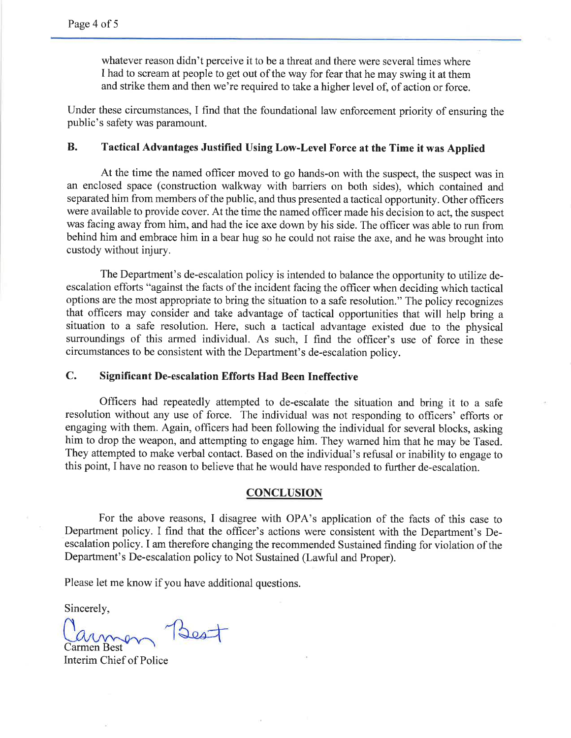whatever reason didn't perceive it to be a threat and there were several times where I had to scream at people to get out of the way for fear that he may swing it at them and strike them and then we're required to take a higher level of, of action or force.

Under these circumstances, I find that the foundational law enforcement priority of ensuring the public's safety was paramount.

### B. Tactical Advantages Justified Using Low-Level Force at the Time it was Applied

At the time the named officer moved to go hands-on with the suspect, the suspect was in an enclosed space (construction walkway with barriers on both sides), which contained and separated him from members of the public, and thus presented atactical opportunity. Other officers were available to provide cover. At the time the named officer made his decision to act, the suspect was facing away from him, and had the ice axe down by his side. The officer was able to run from behind him and embrace him in a bear hug so he could not raise the axe, and he was brought into custody without injury.

The Department's de-escalation policy is intended to balance the opportunity to utilize deescalation efforts "against the facts of the incident facing the officer when deciding which tactical options are the most appropriate to bring the situation to a safe resolution." The policy recognizes that officers may consider and take advantage of tactical opportunities that will help bring a situation to a safe resolution. Here, such a tactical advantage existed due to the physical surroundings of this armed individual. As such, I find the officer's use of force in these circumstances to be consistent with the Department's de-escalation policy.

## C. Significant De-escalation Efforts Had Been Ineffective

Officers had repeatedly attempted to de-escalate the situation and bring it to a safe resolution without any use of force. The individual was not responding to officers' efforts or engaging with them. Again, officers had been following the individual for several blocks, asking him to drop the weapon, and attempting to engage him. They warned him that he may be Tased. They attempted to make verbal contact. Based on the individual's refusal or inability to engage to this point, I have no reason to believe that he would have responded to further de-escalation.

#### **CONCLUSION**

For the above reasons, I disagree with OPA's application of the facts of this case to Department policy. I find that the officer's actions were consistent with the Department's Deescalation policy. I am therefore changing the recommended Sustained finding for violation of the Department's De-escalation policy to Not Sustained (Lawful and Proper).

Please let me know if you have additional questions.

Sincerely,

Carmen Best

Interim Chief of Police